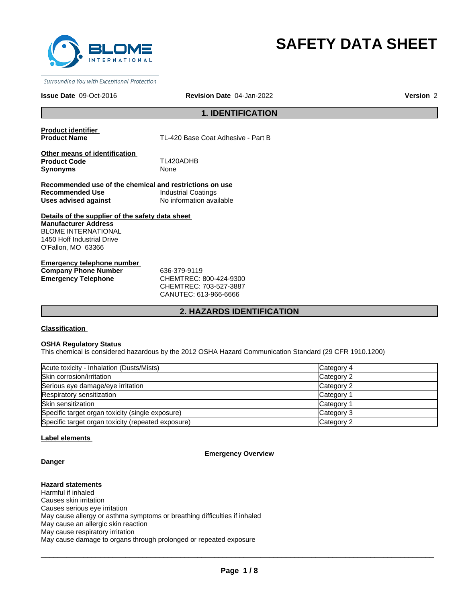

# **SAFETY DATA SHEET**

Surrounding You with Exceptional Protection

#### **Issue Date** 09-Oct-2016 **Revision Date** 04-Jan-2022

**Version** 2

# **1. IDENTIFICATION**

**Product identifier** 

TL-420 Base Coat Adhesive - Part B

**Other means of identification Product Code** TL420ADHB **Synonyms** None

**Recommended use of the chemical and restrictions on use Recommended Use** Industrial Coatings **Uses advised against** No information available

**Details of the supplier of the safety data sheet Manufacturer Address** BLOME INTERNATIONAL 1450 Hoff Industrial Drive O'Fallon, MO 63366

**Emergency telephone number Company Phone Number** 636-379-9119 **Emergency Telephone** CHEMTREC: 800-424-9300

CHEMTREC: 703-527-3887 CANUTEC: 613-966-6666

# **2. HAZARDS IDENTIFICATION**

# **Classification**

#### **OSHA Regulatory Status**

This chemical is considered hazardous by the 2012 OSHA Hazard Communication Standard (29 CFR 1910.1200)

| Acute toxicity - Inhalation (Dusts/Mists)          | Category 4 |
|----------------------------------------------------|------------|
| Skin corrosion/irritation                          | Category 2 |
| Serious eye damage/eye irritation                  | Category 2 |
| Respiratory sensitization                          | Category 1 |
| Skin sensitization                                 | Category 1 |
| Specific target organ toxicity (single exposure)   | Category 3 |
| Specific target organ toxicity (repeated exposure) | Category 2 |

# **Label elements**

#### **Emergency Overview**

# **Danger**

**Hazard statements** Harmful if inhaled Causes skin irritation Causes serious eye irritation May cause allergy or asthma symptoms or breathing difficulties if inhaled May cause an allergic skin reaction May cause respiratory irritation May cause damage to organs through prolonged or repeated exposure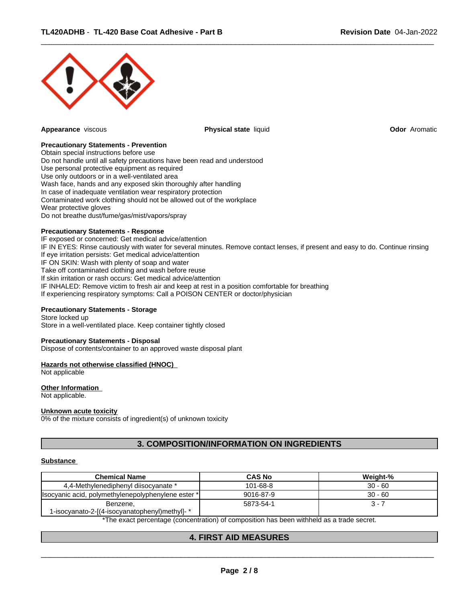

**Appearance** viscous **Physical state** liquid **Odor** Aromatic

 $\overline{\phantom{a}}$  ,  $\overline{\phantom{a}}$  ,  $\overline{\phantom{a}}$  ,  $\overline{\phantom{a}}$  ,  $\overline{\phantom{a}}$  ,  $\overline{\phantom{a}}$  ,  $\overline{\phantom{a}}$  ,  $\overline{\phantom{a}}$  ,  $\overline{\phantom{a}}$  ,  $\overline{\phantom{a}}$  ,  $\overline{\phantom{a}}$  ,  $\overline{\phantom{a}}$  ,  $\overline{\phantom{a}}$  ,  $\overline{\phantom{a}}$  ,  $\overline{\phantom{a}}$  ,  $\overline{\phantom{a}}$ 

# **Precautionary Statements - Prevention**

Obtain special instructions before use Do not handle until all safety precautions have been read and understood Use personal protective equipment as required Use only outdoors or in a well-ventilated area Wash face, hands and any exposed skin thoroughly after handling In case of inadequate ventilation wear respiratory protection Contaminated work clothing should not be allowed out of the workplace Wear protective gloves Do not breathe dust/fume/gas/mist/vapors/spray

#### **Precautionary Statements - Response**

IF exposed or concerned: Get medical advice/attention IF IN EYES: Rinse cautiously with water for several minutes. Remove contact lenses, if present and easy to do. Continue rinsing If eye irritation persists: Get medical advice/attention IF ON SKIN: Wash with plenty of soap and water Take off contaminated clothing and wash before reuse If skin irritation or rash occurs: Get medical advice/attention IF INHALED: Remove victim to fresh air and keep at rest in a position comfortable for breathing If experiencing respiratory symptoms: Call a POISON CENTER or doctor/physician

# **Precautionary Statements - Storage**

Store locked up Store in a well-ventilated place. Keep container tightly closed

#### **Precautionary Statements - Disposal**

Dispose of contents/container to an approved waste disposal plant

#### **Hazards not otherwise classified (HNOC)**

Not applicable

# **Other Information**

Not applicable.

#### **Unknown acute toxicity**

0% of the mixture consists of ingredient(s) of unknown toxicity

# **3. COMPOSITION/INFORMATION ON INGREDIENTS**

#### **Substance**

| <b>Chemical Name</b>                                      | <b>CAS No</b> | Weight-%  |
|-----------------------------------------------------------|---------------|-----------|
| 4,4-Methylenediphenyl diisocyanate *                      | 101-68-8      | $30 - 60$ |
| (Isocyanic acid, polymethylenepolyphenylene ester *)      | 9016-87-9     | $30 - 60$ |
| Benzene,<br>1-isocyanato-2-[(4-isocyanatophenyl)methyl]-* | 5873-54-1     | $3 - 7$   |

\*The exact percentage (concentration) of composition has been withheld as a trade secret.

# **4. FIRST AID MEASURES**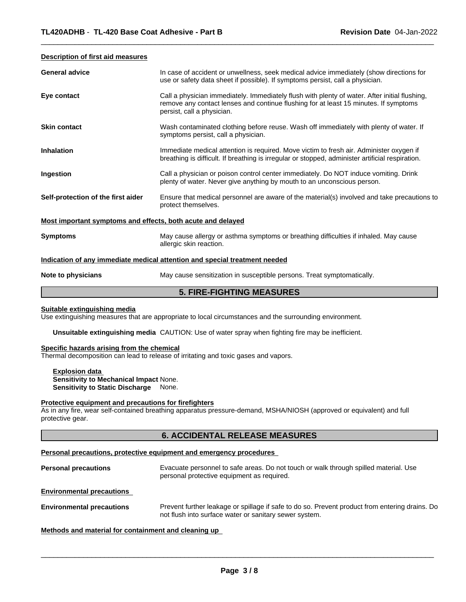#### **Description of first aid measures**

| <b>General advice</b>                                                      | In case of accident or unwellness, seek medical advice immediately (show directions for                                                                                                                             |  |
|----------------------------------------------------------------------------|---------------------------------------------------------------------------------------------------------------------------------------------------------------------------------------------------------------------|--|
|                                                                            | use or safety data sheet if possible). If symptoms persist, call a physician.                                                                                                                                       |  |
| Eye contact                                                                | Call a physician immediately. Immediately flush with plenty of water. After initial flushing,<br>remove any contact lenses and continue flushing for at least 15 minutes. If symptoms<br>persist, call a physician. |  |
| <b>Skin contact</b>                                                        | Wash contaminated clothing before reuse. Wash off immediately with plenty of water. If<br>symptoms persist, call a physician.                                                                                       |  |
| <b>Inhalation</b>                                                          | Immediate medical attention is required. Move victim to fresh air. Administer oxygen if<br>breathing is difficult. If breathing is irregular or stopped, administer artificial respiration.                         |  |
| Ingestion                                                                  | Call a physician or poison control center immediately. Do NOT induce vomiting. Drink<br>plenty of water. Never give anything by mouth to an unconscious person.                                                     |  |
| Self-protection of the first aider                                         | Ensure that medical personnel are aware of the material(s) involved and take precautions to<br>protect themselves.                                                                                                  |  |
| Most important symptoms and effects, both acute and delayed                |                                                                                                                                                                                                                     |  |
| <b>Symptoms</b>                                                            | May cause allergy or asthma symptoms or breathing difficulties if inhaled. May cause<br>allergic skin reaction.                                                                                                     |  |
| Indication of any immediate medical attention and special treatment needed |                                                                                                                                                                                                                     |  |
| Note to physicians                                                         | May cause sensitization in susceptible persons. Treat symptomatically.                                                                                                                                              |  |

 $\overline{\phantom{a}}$  ,  $\overline{\phantom{a}}$  ,  $\overline{\phantom{a}}$  ,  $\overline{\phantom{a}}$  ,  $\overline{\phantom{a}}$  ,  $\overline{\phantom{a}}$  ,  $\overline{\phantom{a}}$  ,  $\overline{\phantom{a}}$  ,  $\overline{\phantom{a}}$  ,  $\overline{\phantom{a}}$  ,  $\overline{\phantom{a}}$  ,  $\overline{\phantom{a}}$  ,  $\overline{\phantom{a}}$  ,  $\overline{\phantom{a}}$  ,  $\overline{\phantom{a}}$  ,  $\overline{\phantom{a}}$ 

# **5. FIRE-FIGHTING MEASURES**

# **Suitable extinguishing media**

Use extinguishing measures that are appropriate to local circumstances and the surrounding environment.

**Unsuitable extinguishing media** CAUTION: Use of water spray when fighting fire may be inefficient.

#### **Specific hazards arising from the chemical**

Thermal decomposition can lead to release of irritating and toxic gases and vapors.

**Explosion data Sensitivity to Mechanical Impact** None. **Sensitivity to Static Discharge** None.

#### **Protective equipment and precautions for firefighters**

As in any fire, wear self-contained breathing apparatus pressure-demand, MSHA/NIOSH (approved or equivalent) and full protective gear.

# **6. ACCIDENTAL RELEASE MEASURES**

#### **Personal precautions, protective equipment and emergency procedures**

| <b>Personal precautions</b> | Evacuate personnel to safe areas. Do not touch or walk through spilled material. Use<br>personal protective equipment as required. |
|-----------------------------|------------------------------------------------------------------------------------------------------------------------------------|
|                             |                                                                                                                                    |

**Environmental precautions** 

**Environmental precautions** Prevent further leakage or spillage if safe to do so. Prevent product from entering drains. Do not flush into surface water or sanitary sewer system.

# **Methods and material for containment and cleaning up**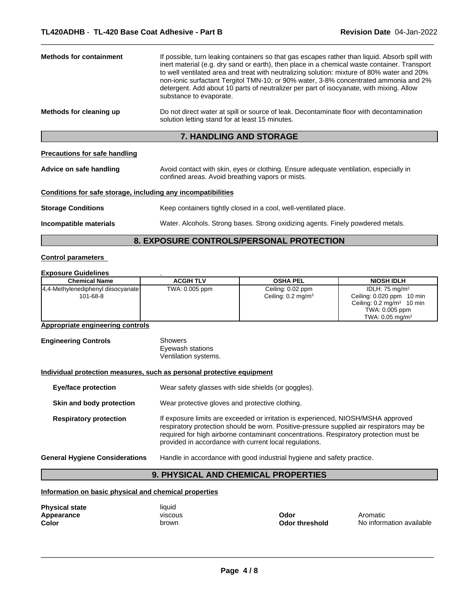| <b>Methods for containment</b> | If possible, turn leaking containers so that gas escapes rather than liquid. Absorb spill with<br>inert material (e.g. dry sand or earth), then place in a chemical waste container. Transport<br>to well ventilated area and treat with neutralizing solution: mixture of 80% water and 20%<br>non-ionic surfactant Tergitol TMN-10; or 90% water, 3-8% concentrated ammonia and 2%<br>detergent. Add about 10 parts of neutralizer per part of isocyanate, with mixing. Allow<br>substance to evaporate. |  |
|--------------------------------|------------------------------------------------------------------------------------------------------------------------------------------------------------------------------------------------------------------------------------------------------------------------------------------------------------------------------------------------------------------------------------------------------------------------------------------------------------------------------------------------------------|--|
| Methods for cleaning up        | Do not direct water at spill or source of leak. Decontaminate floor with decontamination<br>solution letting stand for at least 15 minutes.                                                                                                                                                                                                                                                                                                                                                                |  |

# **7. HANDLING AND STORAGE**

# **Precautions for safe handling**

| Advice on safe handling | Avoid contact with skin, eyes or clothing. Ensure adequate ventilation, especially in |
|-------------------------|---------------------------------------------------------------------------------------|
|                         | confined areas. Avoid breathing vapors or mists.                                      |

# **Conditions for safe storage, including any incompatibilities**

| <b>Storage Conditions</b> | Keep containers tightly closed in a cool, well-ventilated place. |
|---------------------------|------------------------------------------------------------------|
|                           |                                                                  |

**Incompatible materials** Water. Alcohols. Strong bases. Strong oxidizing agents. Finely powdered metals.

 $\overline{\phantom{a}}$  ,  $\overline{\phantom{a}}$  ,  $\overline{\phantom{a}}$  ,  $\overline{\phantom{a}}$  ,  $\overline{\phantom{a}}$  ,  $\overline{\phantom{a}}$  ,  $\overline{\phantom{a}}$  ,  $\overline{\phantom{a}}$  ,  $\overline{\phantom{a}}$  ,  $\overline{\phantom{a}}$  ,  $\overline{\phantom{a}}$  ,  $\overline{\phantom{a}}$  ,  $\overline{\phantom{a}}$  ,  $\overline{\phantom{a}}$  ,  $\overline{\phantom{a}}$  ,  $\overline{\phantom{a}}$ 

# **8. EXPOSURE CONTROLS/PERSONAL PROTECTION**

# **Control parameters**

# **Exposure Guidelines** .

| <b>Chemical Name</b>                 | <b>ACGIH TLV</b> | <b>OSHA PEL</b>               | <b>NIOSH IDLH</b>                    |
|--------------------------------------|------------------|-------------------------------|--------------------------------------|
| [4,4-Methylenediphenyl diisocyanate] | TWA: 0.005 ppm   | Ceiling: 0.02 ppm             | IDLH: $75 \text{ mg/m}^3$            |
| 101-68-8                             |                  | Ceiling: $0.2 \text{ mg/m}^3$ | Ceiling: 0.020 ppm<br>10 min         |
|                                      |                  |                               | Ceiling: $0.2 \text{ mg/m}^3$ 10 min |
|                                      |                  |                               | TWA: 0.005 ppm                       |
|                                      |                  |                               | TWA: $0.05 \text{ mg/m}^3$           |

# **Appropriate engineering controls**

| <b>Engineering Controls</b> | Showers              |  |
|-----------------------------|----------------------|--|
|                             | Eyewash stations     |  |
|                             | Ventilation systems. |  |

# **Individual protection measures, such as personal protective equipment**

| <b>Eye/face protection</b>                                                  |  | Wear safety glasses with side shields (or goggles).                                                                                                                                                                                                                                                                              |
|-----------------------------------------------------------------------------|--|----------------------------------------------------------------------------------------------------------------------------------------------------------------------------------------------------------------------------------------------------------------------------------------------------------------------------------|
| Wear protective gloves and protective clothing.<br>Skin and body protection |  |                                                                                                                                                                                                                                                                                                                                  |
| <b>Respiratory protection</b>                                               |  | If exposure limits are exceeded or irritation is experienced, NIOSH/MSHA approved<br>respiratory protection should be worn. Positive-pressure supplied air respirators may be<br>required for high airborne contaminant concentrations. Respiratory protection must be<br>provided in accordance with current local regulations. |
| <b>General Hygiene Considerations</b>                                       |  | Handle in accordance with good industrial hygiene and safety practice.                                                                                                                                                                                                                                                           |

# **9. PHYSICAL AND CHEMICAL PROPERTIES**

**Information on basic physical and chemical properties**

| <b>Physical state</b> | liauid         |
|-----------------------|----------------|
| Appearance            | <b>VISCOUS</b> |
| Color                 | brown          |

| iiyuiu        |
|---------------|
| <b>VISCOU</b> |
| brown         |
|               |

 $\overline{\phantom{a}}$  ,  $\overline{\phantom{a}}$  ,  $\overline{\phantom{a}}$  ,  $\overline{\phantom{a}}$  ,  $\overline{\phantom{a}}$  ,  $\overline{\phantom{a}}$  ,  $\overline{\phantom{a}}$  ,  $\overline{\phantom{a}}$  ,  $\overline{\phantom{a}}$  ,  $\overline{\phantom{a}}$  ,  $\overline{\phantom{a}}$  ,  $\overline{\phantom{a}}$  ,  $\overline{\phantom{a}}$  ,  $\overline{\phantom{a}}$  ,  $\overline{\phantom{a}}$  ,  $\overline{\phantom{a}}$ 

**Odor threshold** No information available **Appearance** viscous **Odor** Aromatic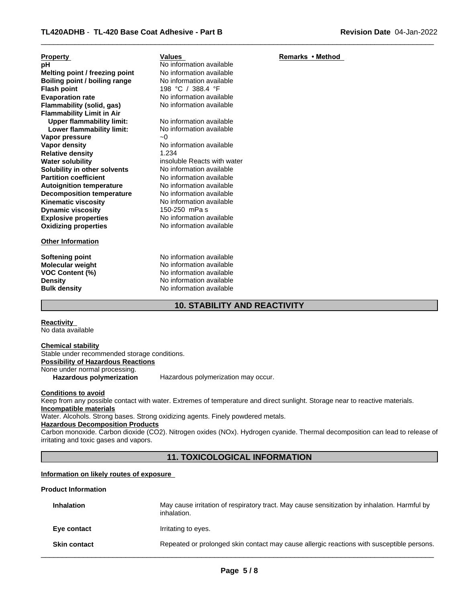| <b>Property</b>                  | Values                      | Remarks • Method |
|----------------------------------|-----------------------------|------------------|
| рH                               | No information available    |                  |
| Melting point / freezing point   | No information available    |                  |
| Boiling point / boiling range    | No information available    |                  |
| <b>Flash point</b>               | 198 °C / 388.4 °F           |                  |
| <b>Evaporation rate</b>          | No information available    |                  |
| Flammability (solid, gas)        | No information available    |                  |
| <b>Flammability Limit in Air</b> |                             |                  |
| <b>Upper flammability limit:</b> | No information available    |                  |
| Lower flammability limit:        | No information available    |                  |
| Vapor pressure                   | $-0$                        |                  |
| Vapor density                    | No information available    |                  |
| <b>Relative density</b>          | 1.234                       |                  |
| <b>Water solubility</b>          | insoluble Reacts with water |                  |
| Solubility in other solvents     | No information available    |                  |
| <b>Partition coefficient</b>     | No information available    |                  |
| <b>Autoignition temperature</b>  | No information available    |                  |
| <b>Decomposition temperature</b> | No information available    |                  |
| <b>Kinematic viscosity</b>       | No information available    |                  |
| <b>Dynamic viscosity</b>         | 150-250 mPa s               |                  |
| <b>Explosive properties</b>      | No information available    |                  |
| <b>Oxidizing properties</b>      | No information available    |                  |
| <b>Other Information</b>         |                             |                  |

**Softening point** No information available **Molecular weight** No information available **VOC Content (%)** No information available<br>
Density<br>
No information available **Density Density Density Bulk density Research American** No information available **No information available** 

# **10. STABILITY AND REACTIVITY**

 $\overline{\phantom{a}}$  ,  $\overline{\phantom{a}}$  ,  $\overline{\phantom{a}}$  ,  $\overline{\phantom{a}}$  ,  $\overline{\phantom{a}}$  ,  $\overline{\phantom{a}}$  ,  $\overline{\phantom{a}}$  ,  $\overline{\phantom{a}}$  ,  $\overline{\phantom{a}}$  ,  $\overline{\phantom{a}}$  ,  $\overline{\phantom{a}}$  ,  $\overline{\phantom{a}}$  ,  $\overline{\phantom{a}}$  ,  $\overline{\phantom{a}}$  ,  $\overline{\phantom{a}}$  ,  $\overline{\phantom{a}}$ 

**Reactivity**  No data available

#### **Chemical stability** Stable under recommended storage conditions. **Possibility of Hazardous Reactions**

None under normal processing.

**Hazardous polymerization** Hazardous polymerization may occur.

**Conditions to avoid**

Keep from any possible contact with water. Extremes of temperature and direct sunlight. Storage near to reactive materials. **Incompatible materials**

Water. Alcohols. Strong bases. Strong oxidizing agents. Finely powdered metals.

# **Hazardous Decomposition Products**

Carbon monoxide. Carbon dioxide (CO2). Nitrogen oxides (NOx). Hydrogen cyanide. Thermal decomposition can lead to release of irritating and toxic gases and vapors.

# **11. TOXICOLOGICAL INFORMATION**

# **Information on likely routes of exposure**

# **Product Information**

| <b>Inhalation</b>   | May cause irritation of respiratory tract. May cause sensitization by inhalation. Harmful by<br>inhalation. |
|---------------------|-------------------------------------------------------------------------------------------------------------|
| Eye contact         | Irritating to eyes.                                                                                         |
| <b>Skin contact</b> | Repeated or prolonged skin contact may cause allergic reactions with susceptible persons.                   |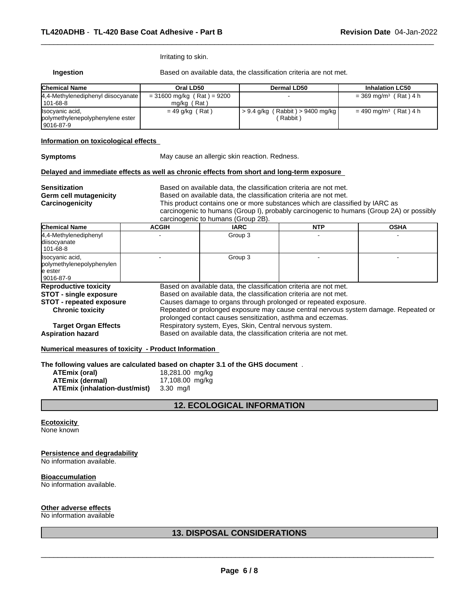Irritating to skin.

**Ingestion** Based on available data, the classification criteria are not met.

 $\overline{\phantom{a}}$  ,  $\overline{\phantom{a}}$  ,  $\overline{\phantom{a}}$  ,  $\overline{\phantom{a}}$  ,  $\overline{\phantom{a}}$  ,  $\overline{\phantom{a}}$  ,  $\overline{\phantom{a}}$  ,  $\overline{\phantom{a}}$  ,  $\overline{\phantom{a}}$  ,  $\overline{\phantom{a}}$  ,  $\overline{\phantom{a}}$  ,  $\overline{\phantom{a}}$  ,  $\overline{\phantom{a}}$  ,  $\overline{\phantom{a}}$  ,  $\overline{\phantom{a}}$  ,  $\overline{\phantom{a}}$ 

| <b>Chemical Name</b>                                               | Oral LD50                                   | Dermal LD50                                     | <b>Inhalation LC50</b>              |
|--------------------------------------------------------------------|---------------------------------------------|-------------------------------------------------|-------------------------------------|
| 4,4-Methylenediphenyl diisocyanate<br>101-68-8                     | $= 31600$ mg/kg (Rat) = 9200<br>mg/kg (Rat) |                                                 | $=$ 369 mg/m <sup>3</sup> (Rat) 4 h |
| Isocyanic acid,<br>polymethylenepolyphenylene ester<br>  9016-87-9 | $= 49$ g/kg (Rat)                           | $> 9.4$ g/kg (Rabbit) $> 9400$ mg/kg<br>Rabbit) | $= 490$ mg/m <sup>3</sup> (Rat) 4 h |

# **Information on toxicological effects**

**Symptoms** May cause an allergic skin reaction. Redness.

# **Delayed and immediate effects as well as chronic effects from short and long-term exposure**

| <b>Sensitization</b><br><b>Germ cell mutagenicity</b><br>Carcinogenicity | Based on available data, the classification criteria are not met.<br>Based on available data, the classification criteria are not met.<br>This product contains one or more substances which are classified by IARC as<br>carcinogenic to humans (Group I), probably carcinogenic to humans (Group 2A) or possibly<br>carcinogenic to humans (Group 2B). |             |            |             |
|--------------------------------------------------------------------------|----------------------------------------------------------------------------------------------------------------------------------------------------------------------------------------------------------------------------------------------------------------------------------------------------------------------------------------------------------|-------------|------------|-------------|
| <b>Chemical Name</b>                                                     | <b>ACGIH</b>                                                                                                                                                                                                                                                                                                                                             | <b>IARC</b> | <b>NTP</b> | <b>OSHA</b> |
| 4,4-Methylenediphenyl<br>diisocyanate<br>1101-68-8                       |                                                                                                                                                                                                                                                                                                                                                          | Group 3     |            |             |
| Isocyanic acid,<br>polymethylenepolyphenylen                             |                                                                                                                                                                                                                                                                                                                                                          | Group 3     |            |             |

| le ester                        |                                                                                     |  |  |  |
|---------------------------------|-------------------------------------------------------------------------------------|--|--|--|
| 9016-87-9                       |                                                                                     |  |  |  |
| <b>Reproductive toxicity</b>    | Based on available data, the classification criteria are not met.                   |  |  |  |
| <b>STOT - single exposure</b>   | Based on available data, the classification criteria are not met.                   |  |  |  |
| <b>STOT</b> - repeated exposure | Causes damage to organs through prolonged or repeated exposure.                     |  |  |  |
| <b>Chronic toxicity</b>         | Repeated or prolonged exposure may cause central nervous system damage. Repeated or |  |  |  |
|                                 | prolonged contact causes sensitization, asthma and eczemas.                         |  |  |  |
| <b>Target Organ Effects</b>     | Respiratory system, Eyes, Skin, Central nervous system.                             |  |  |  |
| <b>Aspiration hazard</b>        | Based on available data, the classification criteria are not met.                   |  |  |  |

# **Numerical measures of toxicity - Product Information**

**The following values are calculated based on chapter 3.1 of the GHS document** .

| ATEmix (oral)                 | 18,281.00 mg/kg |
|-------------------------------|-----------------|
| ATEmix (dermal)               | 17,108.00 mg/kg |
| ATEmix (inhalation-dust/mist) | 3.30 ma/l       |

# **12. ECOLOGICAL INFORMATION**

# **Ecotoxicity**

None known

# **Persistence and degradability**

No information available.

# **Bioaccumulation**

No information available.

#### **Other adverse effects**

No information available

# **13. DISPOSAL CONSIDERATIONS**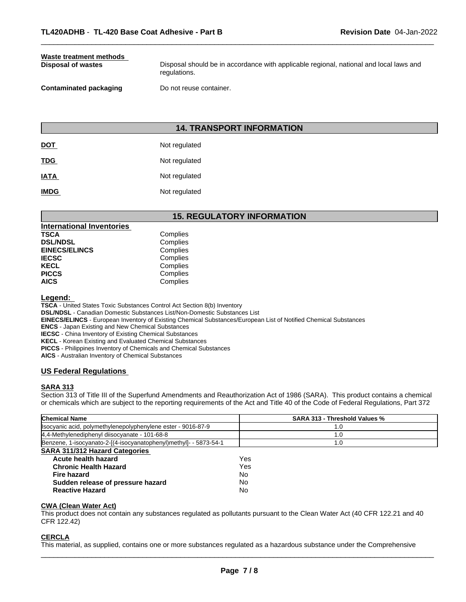# **Waste treatment methods**

**Disposal of wastes** Disposal should be in accordance with applicable regional, national and local laws and regulations.

 $\overline{\phantom{a}}$  ,  $\overline{\phantom{a}}$  ,  $\overline{\phantom{a}}$  ,  $\overline{\phantom{a}}$  ,  $\overline{\phantom{a}}$  ,  $\overline{\phantom{a}}$  ,  $\overline{\phantom{a}}$  ,  $\overline{\phantom{a}}$  ,  $\overline{\phantom{a}}$  ,  $\overline{\phantom{a}}$  ,  $\overline{\phantom{a}}$  ,  $\overline{\phantom{a}}$  ,  $\overline{\phantom{a}}$  ,  $\overline{\phantom{a}}$  ,  $\overline{\phantom{a}}$  ,  $\overline{\phantom{a}}$ 

**Contaminated packaging Theory Do not reuse container.** 

# **14. TRANSPORT INFORMATION**

| <b>DOT</b>  | Not regulated |
|-------------|---------------|
| <b>TDG</b>  | Not regulated |
| <b>IATA</b> | Not regulated |
| <b>IMDG</b> | Not regulated |

# **15. REGULATORY INFORMATION**

| <b>International Inventories</b> |  |
|----------------------------------|--|
| Complies                         |  |
| Complies                         |  |
| Complies                         |  |
| Complies                         |  |
| Complies                         |  |
| Complies                         |  |
| Complies                         |  |
|                                  |  |

# **Legend:**

**TSCA** - United States Toxic Substances Control Act Section 8(b) Inventory **DSL/NDSL** - Canadian Domestic Substances List/Non-Domestic Substances List **EINECS/ELINCS** - European Inventory of Existing Chemical Substances/European List of Notified Chemical Substances **ENCS** - Japan Existing and New Chemical Substances **IECSC** - China Inventory of Existing Chemical Substances **KECL** - Korean Existing and Evaluated Chemical Substances

**PICCS** - Philippines Inventory of Chemicals and Chemical Substances

**AICS** - Australian Inventory of Chemical Substances

# **US Federal Regulations**

# **SARA 313**

Section 313 of Title III of the Superfund Amendments and Reauthorization Act of 1986 (SARA). This product contains a chemical or chemicals which are subject to the reporting requirements of the Act and Title 40 of the Code of Federal Regulations, Part 372

| <b>Chemical Name</b>                                              | <b>SARA 313 - Threshold Values %</b> |
|-------------------------------------------------------------------|--------------------------------------|
| Isocyanic acid, polymethylenepolyphenylene ester - 9016-87-9      | 1.0                                  |
| 4,4-Methylenediphenyl diisocyanate - 101-68-8                     | 1.0                                  |
| Benzene, 1-isocyanato-2-[(4-isocyanatophenyl)methyl]- - 5873-54-1 | 1.0                                  |
| <b>SARA 311/312 Hazard Categories</b>                             |                                      |
| Acute health hazard                                               | Yes                                  |
| <b>Chronic Health Hazard</b>                                      | Yes                                  |
| <b>Fire hazard</b>                                                | No                                   |
| Sudden release of pressure hazard                                 | No                                   |
| <b>Reactive Hazard</b>                                            | No                                   |

# **CWA (Clean Water Act)**

This product does not contain any substances regulated as pollutants pursuant to the Clean Water Act (40 CFR 122.21 and 40 CFR 122.42)

#### **CERCLA**

This material, as supplied, contains one or more substances regulated as a hazardous substance under the Comprehensive